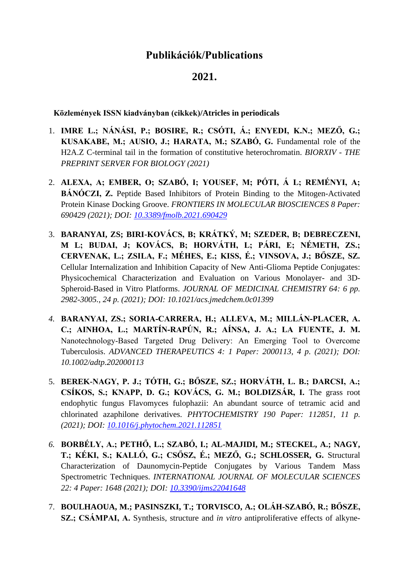## **Publikációk/Publications**

## **2021.**

**Közlemények ISSN kiadványban (cikkek)/Atricles in periodicals**

- 1. **IMRE L.; NÁNÁSI, P.; BOSIRE, R.; CSÓTI, Á.; ENYEDI, K.N.; MEZŐ, G.; KUSAKABE, M.; AUSIO, J.; HARATA, M.; SZABÓ, G.** Fundamental role of the H2A.Z C-terminal tail in the formation of constitutive heterochromatin. *BIORXIV - THE PREPRINT SERVER FOR BIOLOGY (2021)*
- 2. **ALEXA, A; EMBER, O; SZABÓ, I; YOUSEF, M; PÓTI, Á L; REMÉNYI, A; BÁNÓCZI, Z.** Peptide Based Inhibitors of Protein Binding to the Mitogen-Activated Protein Kinase Docking Groove. *FRONTIERS IN MOLECULAR BIOSCIENCES 8 Paper: 690429 (2021); DOI: [10.3389/fmolb.2021.690429](https://doi.org/10.3389/fmolb.2021.690429)*
- 3. **BARANYAI, ZS; BIRI-KOVÁCS, B; KRÁTKÝ, M; SZEDER, B; DEBRECZENI, M L; BUDAI, J; KOVÁCS, B; HORVÁTH, L; PÁRI, E; NÉMETH, ZS.; CERVENAK, L.; ZSILA, F.; MÉHES, E.; KISS, É.; VINSOVA, J.; BŐSZE, SZ.** Cellular Internalization and Inhibition Capacity of New Anti-Glioma Peptide Conjugates: Physicochemical Characterization and Evaluation on Various Monolayer- and 3D-Spheroid-Based in Vitro Platforms. *JOURNAL OF MEDICINAL CHEMISTRY 64: 6 pp. 2982-3005., 24 p. (2021); DOI: 10.1021/acs.jmedchem.0c01399*
- *4.* **BARANYAI, ZS.; SORIA‐CARRERA, H.; ALLEVA, M.; MILLÁN‐PLACER, A. C.; AINHOA, L.; MARTÍN‐RAPÚN, R.; AÍNSA, J. A.; LA FUENTE, J. M.** Nanotechnology‐Based Targeted Drug Delivery: An Emerging Tool to Overcome Tuberculosis. *ADVANCED THERAPEUTICS 4: 1 Paper: 2000113, 4 p. (2021); DOI: 10.1002/adtp.202000113*
- 5. **BEREK-NAGY, P. J.; TÓTH, G.; BŐSZE, SZ.; HORVÁTH, L. B.; DARCSI, A.; CSÍKOS, S.; KNAPP, D. G.; KOVÁCS, G. M.; BOLDIZSÁR, I.** The grass root endophytic fungus Flavomyces fulophazii: An abundant source of tetramic acid and chlorinated azaphilone derivatives. *PHYTOCHEMISTRY 190 Paper: 112851, 11 p. (2021); DOI: [10.1016/j.phytochem.2021.112851](https://doi.org/10.1016/j.phytochem.2021.112851)*
- *6.* **BORBÉLY, A.; PETHŐ, L.; SZABÓ, I.; AL-MAJIDI, M.; STECKEL, A.; NAGY, T.; KÉKI, S.; KALLÓ, G.; CSŐSZ, É.; MEZŐ, G.; SCHLOSSER, G.** Structural Characterization of Daunomycin-Peptide Conjugates by Various Tandem Mass Spectrometric Techniques. *INTERNATIONAL JOURNAL OF MOLECULAR SCIENCES 22: 4 Paper: 1648 (2021); DOI: [10.3390/ijms22041648](https://doi.org/10.3390/ijms22041648)*
- 7. **BOULHAOUA, M.; PASINSZKI, T.; TORVISCO, A.; OLÁH-SZABÓ, R.; BŐSZE, SZ.; CSÁMPAI, A.** Synthesis, structure and *in vitro* antiproliferative effects of alkyne-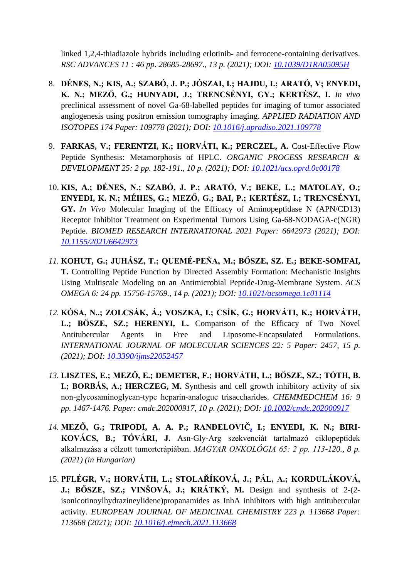linked 1,2,4-thiadiazole hybrids including erlotinib- and ferrocene-containing derivatives. *RSC ADVANCES 11 : 46 pp. 28685-28697., 13 p. (2021); DOI: [10.1039/D1RA05095H](https://doi.org/10.1039/D1RA05095H)*

- 8. **DÉNES, N.; KIS, A.; SZABÓ, J. P.; JÓSZAI, I.; HAJDU, I.; ARATÓ, V; ENYEDI, K. N.; MEZŐ, G.; HUNYADI, J.; TRENCSÉNYI, GY.; KERTÉSZ, I.** *In vivo* preclinical assessment of novel Ga-68-labelled peptides for imaging of tumor associated angiogenesis using positron emission tomography imaging. *APPLIED RADIATION AND ISOTOPES 174 Paper: 109778 (2021); DOI: [10.1016/j.apradiso.2021.109778](https://doi.org/10.1016/j.apradiso.2021.109778)*
- 9. **FARKAS, V.; FERENTZI, K.; HORVÁTI, K.; PERCZEL, A.** Cost-Effective Flow Peptide Synthesis: Metamorphosis of HPLC. *ORGANIC PROCESS RESEARCH & DEVELOPMENT 25: 2 pp. 182-191., 10 p. (2021); DOI: [10.1021/acs.oprd.0c00178](https://doi.org/10.1021/acs.oprd.0c00178)*
- 10. **KIS, A.; DÉNES, N.; SZABÓ, J. P.; ARATÓ, V.; BEKE, L.; MATOLAY, O.; ENYEDI, K. N.; MÉHES, G.; MEZŐ, G.; BAI, P.; KERTÉSZ, I.; TRENCSÉNYI, GY.** *In Vivo* Molecular Imaging of the Efficacy of Aminopeptidase N (APN/CD13) Receptor Inhibitor Treatment on Experimental Tumors Using Ga-68-NODAGA-c(NGR) Peptide. *BIOMED RESEARCH INTERNATIONAL 2021 Paper: 6642973 (2021); DOI: [10.1155/2021/6642973](https://doi.org/10.1155/2021/6642973)*
- *11.* **KOHUT, G.; JUHÁSZ, T.; QUEMÉ-PEÑA, M.; BŐSZE, SZ. E.; BEKE-SOMFAI, T.** Controlling Peptide Function by Directed Assembly Formation: Mechanistic Insights Using Multiscale Modeling on an Antimicrobial Peptide-Drug-Membrane System. *ACS OMEGA 6: 24 pp. 15756-15769., 14 p. (2021); DOI: [10.1021/acsomega.1c01114](https://doi.org/10.1021/acsomega.1c01114)*
- *12.* **KÓSA, N..; ZOLCSÁK, Á.; VOSZKA, I.; CSÍK, G.; HORVÁTI, K.; HORVÁTH,**  L.; BÖSZE, SZ.; HERENYI, L. Comparison of the Efficacy of Two Novel Antitubercular Agents in Free and Liposome-Encapsulated Formulations. *INTERNATIONAL JOURNAL OF MOLECULAR SCIENCES 22: 5 Paper: 2457, 15 p. (2021); DOI: [10.3390/ijms22052457](https://doi.org/10.3390/ijms22052457)*
- *13.* **LISZTES, E.; MEZŐ, E.; DEMETER, F.; HORVÁTH, L.; BŐSZE, SZ.; TÓTH, B. I.; BORBÁS, A.; HERCZEG, M.** Synthesis and cell growth inhibitory activity of six non‐glycosaminoglycan‐type heparin‐analogue trisaccharides. *CHEMMEDCHEM 16: 9 pp. 1467-1476. Paper: cmdc.202000917, 10 p. (2021); DOI: [10.1002/cmdc.202000917](https://doi.org/10.1002/cmdc.202000917)*
- *14.* **MEZŐ, G.; TRIPODI, A. A. P.; RANĐELOVIČ, I.; ENYEDI, K. N.; BIRI-KOVÁCS, B.; TÓVÁRI, J.** Asn-Gly-Arg szekvenciát tartalmazó ciklopeptidek alkalmazása a célzott tumorterápiában. *MAGYAR ONKOLÓGIA 65: 2 pp. 113-120., 8 p. (2021) (in Hungarian)*
- 15. **PFLÉGR, V.; HORVÁTH, L.; STOLAŘÍKOVÁ, J.; PÁL, A.; KORDULÁKOVÁ, J.; BŐSZE, SZ.; VINŠOVÁ, J.; KRÁTKÝ, M.** Design and synthesis of 2-(2 isonicotinoylhydrazineylidene)propanamides as InhA inhibitors with high antitubercular activity. *EUROPEAN JOURNAL OF MEDICINAL CHEMISTRY 223 p. 113668 Paper: 113668 (2021); DOI: [10.1016/j.ejmech.2021.113668](https://doi.org/10.1016/j.ejmech.2021.113668)*